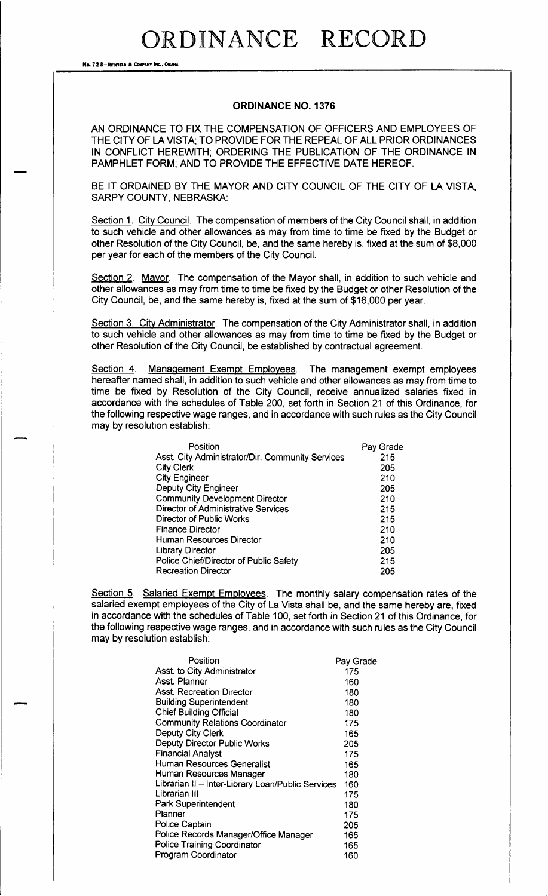## ORDINANCE RECORD

No. 72 8-Reprie a Company Inc., ONAHA

### ORDINANCE NO. 1376

AN ORDINANCE TO FIX THE COMPENSATION OF OFFICERS AND EMPLOYEES OF THE CITY OF LA VISTA; TO PROVIDE FOR THE REPEAL OF ALL PRIOR ORDINANCES IN CONFLICT HEREWITH; ORDERING THE PUBLICATION OF THE ORDINANCE IN PAMPHLET FORM; AND TO PROVIDE THE EFFECTIVE DATE HEREOF.

BE IT ORDAINED BY THE MAYOR AND CITY COUNCIL OF THE CITY OF LA VISTA, SARPY COUNTY, NEBRASKA:

Section 1. City Council. The compensation of members of the City Council shall, in addition to such vehicle and other allowances as may from time to time be fixed by the Budget or other Resolution of the City Council, be, and the same hereby is, fixed at the sum of \$8,000 per year for each of the members of the City Council.

Section 2. Mayor. The compensation of the Mayor shall, in addition to such vehicle and other allowances as may from time to time be fixed by the Budget or other Resolution of the City Council, be, and the same hereby is, fixed at the sum of \$16,000 per year.

Section 3. City Administrator. The compensation of the City Administrator shall, in addition to such vehicle and other allowances as may from time to time be fixed by the Budget or other Resolution of the City Council, be established by contractual agreement.

Section 4. Management Exempt Employees. The management exempt employees hereafter named shall, in addition to such vehicle and other allowances as may from time to time be fixed by Resolution of the City Council, receive annualized salaries fixed in accordance with the schedules of Table 200, set forth in Section 21 of this Ordinance, for the following respective wage ranges, and in accordance with such rules as the City Council may by resolution establish:

| Position                                         | Pay Grade |
|--------------------------------------------------|-----------|
| Asst. City Administrator/Dir. Community Services | 215       |
| <b>City Clerk</b>                                | 205       |
| <b>City Engineer</b>                             | 210       |
| <b>Deputy City Engineer</b>                      | 205       |
| <b>Community Development Director</b>            | 210       |
| Director of Administrative Services              | 215       |
| Director of Public Works                         | 215       |
| <b>Finance Director</b>                          | 210       |
| <b>Human Resources Director</b>                  | 210       |
| <b>Library Director</b>                          | 205       |
| Police Chief/Director of Public Safety           | 215       |
| <b>Recreation Director</b>                       | 205       |

Section 5. Salaried Exempt Employees. The monthly salary compensation rates of the salaried exempt employees of the City of La Vista shall be, and the same hereby are, fixed in accordance with the schedules of Table 100, set forth in Section 21 of this Ordinance, for the following respective wage ranges, and in accordance with such rules as the City Council may by resolution establish:

| Position                                          | Pay Grade |
|---------------------------------------------------|-----------|
| Asst. to City Administrator                       | 175       |
| Asst. Planner                                     | 160       |
| <b>Asst. Recreation Director</b>                  | 180       |
| <b>Building Superintendent</b>                    | 180       |
| <b>Chief Building Official</b>                    | 180       |
| <b>Community Relations Coordinator</b>            | 175       |
| <b>Deputy City Clerk</b>                          | 165       |
| Deputy Director Public Works                      | 205       |
| <b>Financial Analyst</b>                          | 175       |
| Human Resources Generalist                        | 165       |
| Human Resources Manager                           | 180       |
| Librarian II - Inter-Library Loan/Public Services | 160       |
| Librarian III                                     | 175       |
| Park Superintendent                               | 180       |
| Planner                                           | 175       |
| Police Captain                                    | 205       |
| Police Records Manager/Office Manager             | 165       |
| <b>Police Training Coordinator</b>                | 165       |
| Program Coordinator                               | 160       |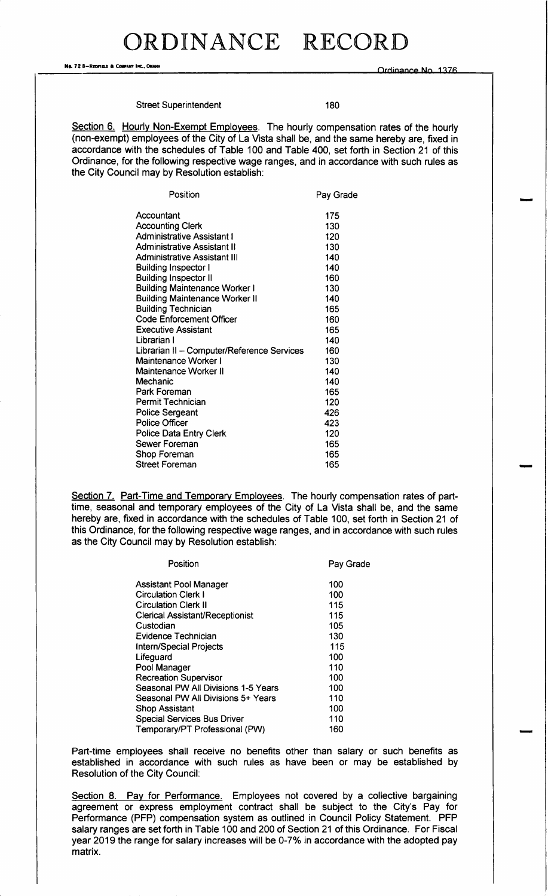No. 72 8-Reprised & COMPANY INC.. OWAHA

Ordinance No. 1376

### Street Superintendent 180

Section 6. Hourly Non-Exempt Employees. The hourly compensation rates of the hourly (non-exempt) employees of the City of La Vista shall be, and the same hereby are, fixed in accordance with the schedules of Table 100 and Table 400, set forth in Section 21 of this Ordinance, for the following respective wage ranges, and in accordance with such rules as the City Council may by Resolution establish:

| Position                                   | Pay Grade |
|--------------------------------------------|-----------|
| Accountant                                 | 175       |
| <b>Accounting Clerk</b>                    | 130       |
| <b>Administrative Assistant I</b>          | 120       |
| <b>Administrative Assistant II</b>         | 130       |
| Administrative Assistant III               | 140       |
| <b>Building Inspector I</b>                | 140       |
| <b>Building Inspector II</b>               | 160       |
| <b>Building Maintenance Worker I</b>       | 130       |
| <b>Building Maintenance Worker II</b>      | 140       |
| <b>Building Technician</b>                 | 165       |
| <b>Code Enforcement Officer</b>            | 160       |
| <b>Executive Assistant</b>                 | 165       |
| Librarian I                                | 140       |
| Librarian II - Computer/Reference Services | 160       |
| Maintenance Worker I                       | 130       |
| Maintenance Worker II                      | 140       |
| Mechanic                                   | 140       |
| Park Foreman                               | 165       |
| Permit Technician                          | 120       |
| Police Sergeant                            | 426       |
| <b>Police Officer</b>                      | 423       |
| Police Data Entry Clerk                    | 120       |
| Sewer Foreman                              | 165       |
| Shop Foreman                               | 165       |
| Street Foreman                             | 165       |

Section 7. Part-Time and Temporary Employees. The hourly compensation rates of parttime, seasonal and temporary employees of the City of La Vista shall be, and the same hereby are, fixed in accordance with the schedules of Table 100, set forth in Section 21 of this Ordinance, for the following respective wage ranges, and in accordance with such rules as the City Council may by Resolution establish:

| Position                            | Pav Grade |
|-------------------------------------|-----------|
| Assistant Pool Manager              | 100       |
| <b>Circulation Clerk I</b>          | 100       |
| <b>Circulation Clerk II</b>         | 115       |
| Clerical Assistant/Receptionist     | 115       |
| Custodian                           | 105       |
| Evidence Technician                 | 130       |
| <b>Intern/Special Projects</b>      | 115       |
| Lifeguard                           | 100       |
| Pool Manager                        | 110       |
| <b>Recreation Supervisor</b>        | 100       |
| Seasonal PW All Divisions 1-5 Years | 100       |
| Seasonal PW All Divisions 5+ Years  | 110       |
| <b>Shop Assistant</b>               | 100       |
| <b>Special Services Bus Driver</b>  | 110       |
| Temporary/PT Professional (PW)      | 160       |
|                                     |           |

Part-time employees shall receive no benefits other than salary or such benefits as established in accordance with such rules as have been or may be established by Resolution of the City Council:

Section 8. Pay for Performance. Employees not covered by a collective bargaining agreement or express employment contract shall be subject to the City's Pay for Performance (PFP) compensation system as outlined in Council Policy Statement. PFP salary ranges are set forth in Table 100 and 200 of Section 21 of this Ordinance. For Fiscal year 2019 the range for salary increases will be 0-7% in accordance with the adopted pay matrix.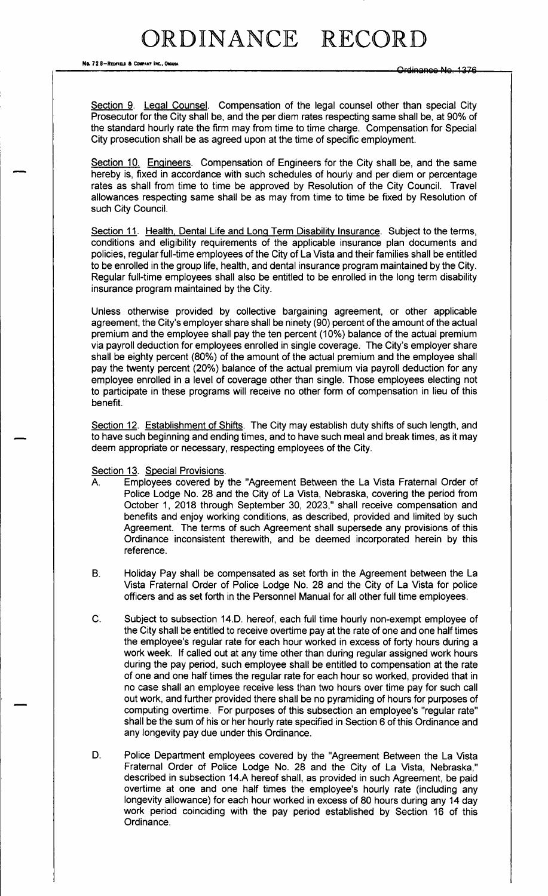## RDINANCE RECORD

No. 72 8-REDFIELD & COMPANY INC., OMAHA

Section 9. Legal Counsel. Compensation of the legal counsel other than special City Prosecutor for the City shall be, and the per diem rates respecting same shall be, at 90% of the standard hourly rate the firm may from time to time charge. Compensation for Special City prosecution shall be as agreed upon at the time of specific employment.

Section 10. Engineers. Compensation of Engineers for the City shall be, and the same hereby is, fixed in accordance with such schedules of hourly and per diem or percentage rates as shall from time to time be approved by Resolution of the City Council. Travel allowances respecting same shall be as may from time to time be fixed by Resolution of such City Council.

Section 11. Health, Dental Life and Long Term Disability Insurance. Subject to the terms, conditions and eligibility requirements of the applicable insurance plan documents and policies, regular full-time employees of the City of La Vista and their families shall be entitled to be enrolled in the group life, health, and dental insurance program maintained by the City. Regular full-time employees shall also be entitled to be enrolled in the long term disability insurance program maintained by the City.

Unless otherwise provided by collective bargaining agreement, or other applicable agreement, the City's employer share shall be ninety (90) percent of the amount of the actual premium and the employee shall pay the ten percent (10%) balance of the actual premium via payroll deduction for employees enrolled in single coverage. The City's employer share shall be eighty percent (80%) of the amount of the actual premium and the employee shall pay the twenty percent (20%) balance of the actual premium via payroll deduction for any employee enrolled in a level of coverage other than single. Those employees electing not to participate in these programs will receive no other form of compensation in lieu of this benefit.

Section 12. Establishment of Shifts. The City may establish duty shifts of such length, and to have such beginning and ending times, and to have such meal and break times, as it may deem appropriate or necessary, respecting employees of the City.

#### Section 13. Special Provisions

- $\mathsf{A}$ Employees covered by the "Agreement Between the La Vista Fraternal Order of Police Lodge No. 28 and the City of La Vista, Nebraska, covering the period from October 1, 2018 through September 30, 2023," shall receive compensation and benefits and enjoy working conditions, as described, provided and limited by such Agreement. The terms of such Agreement shall supersede any provisions of this Ordinance inconsistent therewith, and be deemed incorporated herein by this reference.
- **B.** Holiday Pay shall be compensated as set forth in the Agreement between the La Vista Fraternal Order of Police Lodge No. 28 and the City of La Vista for police officers and as set forth in the Personnel Manual for all other full time employees.
- Subject to subsection 14.D. hereof, each full time hourly non-exempt employee of C. the City shall be entitled to receive overtime pay at the rate of one and one half times the employee's regular rate for each hour worked in excess of forty hours during a work week. If called out at any time other than during regular assigned work hours during the pay period, such employee shall be entitled to compensation at the rate of one and one half times the regular rate for each hour so worked, provided that in no case shall an employee receive less than two hours over time pay for such call out work, and further provided there shall be no pyramiding of hours for purposes of computing overtime. For purposes of this subsection an employee's "regular rate" shall be the sum of his or her hourly rate specified in Section 6 of this Ordinance and any longevity pay due under this Ordinance.
- D. Police Department employees covered by the "Agreement Between the La Vista Fraternal Order of Police Lodge No. 28 and the City of La Vista, Nebraska," described in subsection 14.A hereof shall, as provided in such Agreement, be paid overtime at one and one half times the employee's hourly rate (including any longevity allowance) for each hour worked in excess of 80 hours during any 14 day work period coinciding with the pay period established by Section 16 of this Ordinance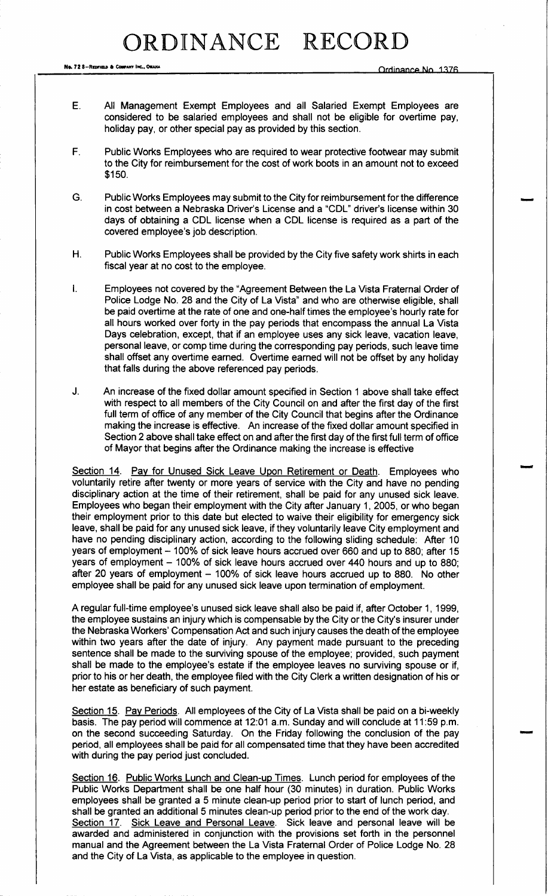Ne. 72 8— Redition & COMPANY INC., ONAHA

- E. All Management Exempt Employees and all Salaried Exempt Employees are considered to be salaried employees and shall not be eligible for overtime pay, holiday pay, or other special pay as provided by this section.
- F. Public Works Employees who are required to wear protective footwear may submit to the City for reimbursement for the cost of work boots in an amount not to exceed \$150.
- G. Public Works Employees may submit to the City for reimbursement for the difference in cost between a Nebraska Driver's License and a "CDL" driver's license within 30 days of obtaining a CDL license when a CDL license is required as a part of the covered employee's job description.
- H. Public Works Employees shall be provided by the City five safety work shirts in each fiscal year at no cost to the employee.
- I. Employees not covered by the " Agreement Between the La Vista Fraternal Order of Police Lodge No. 28 and the City of La Vista" and who are otherwise eligible, shall be paid overtime at the rate of one and one-half times the employee's hourly rate for all hours worked over forty in the pay periods that encompass the annual La Vista Days celebration, except, that if an employee uses any sick leave, vacation leave, personal leave, or comp time during the corresponding pay periods, such leave time shall offset any overtime earned. Overtime earned will not be offset by any holiday that falls during the above referenced pay periods.
- J. An increase of the fixed dollar amount specified in Section <sup>1</sup> above shall take effect with respect to all members of the City Council on and after the first day of the first full term of office of any member of the City Council that begins after the Ordinance making the increase is effective. An increase of the fixed dollar amount specified in Section 2 above shall take effect on and after the first day of the first full term of office of Mayor that begins after the Ordinance making the increase is effective

Section 14. Pay for Unused Sick Leave Upon Retirement or Death. Employees who voluntarily retire after twenty or more years of service with the City and have no pending disciplinary action at the time of their retirement, shall be paid for any unused sick leave. Employees who began their employment with the City after January 1, 2005, or who began their employment prior to this date but elected to waive their eligibility for emergency sick leave, shall be paid for any unused sick leave, if they voluntarily leave City employment and have no pending disciplinary action, according to the following sliding schedule: After <sup>10</sup> years of employment— 100% of sick leave hours accrued over 660 and up to 880; after 15 years of employment — 100% of sick leave hours accrued over 440 hours and up to 880; after 20 years of employment — 100% of sick leave hours accrued up to 880. No other employee shall be paid for any unused sick leave upon termination of employment.

A regular full-time employee's unused sick leave shall also be paid if, after October 1, 1999, the employee sustains an injury which is compensable by the City or the City's insurer under the Nebraska Workers' Compensation Act and such injury causes the death of the employee within two years after the date of injury. Any payment made pursuant to the preceding sentence shall be made to the surviving spouse of the employee; provided, such payment shall be made to the employee's estate if the employee leaves no surviving spouse or if, prior to his or her death, the employee filed with the City Clerk a written designation of his or her estate as beneficiary of such payment.

Section 15. Pay Periods. All employees of the City of La Vista shall be paid on a bi-weekly basis. The pay period will commence at 12:01 a.m. Sunday and will conclude at 11:59 p.m. on the second succeeding Saturday. On the Friday following the conclusion of the pay period, all employees shall be paid for all compensated time that they have been accredited with during the pay period just concluded.

Section 16. Public Works Lunch and Clean-up Times. Lunch period for employees of the Public Works Department shall be one half hour ( 30 minutes) in duration. Public Works employees shall be granted a 5 minute clean- up period prior to start of lunch period, and shall be granted an additional 5 minutes clean- up period prior to the end of the work day. Section 17. Sick Leave and Personal Leave. Sick leave and personal leave will be awarded and administered in conjunction with the provisions set forth in the personnel manual and the Agreement between the La Vista Fraternal Order of Police Lodge No. 28 and the City of La Vista, as applicable to the employee in question.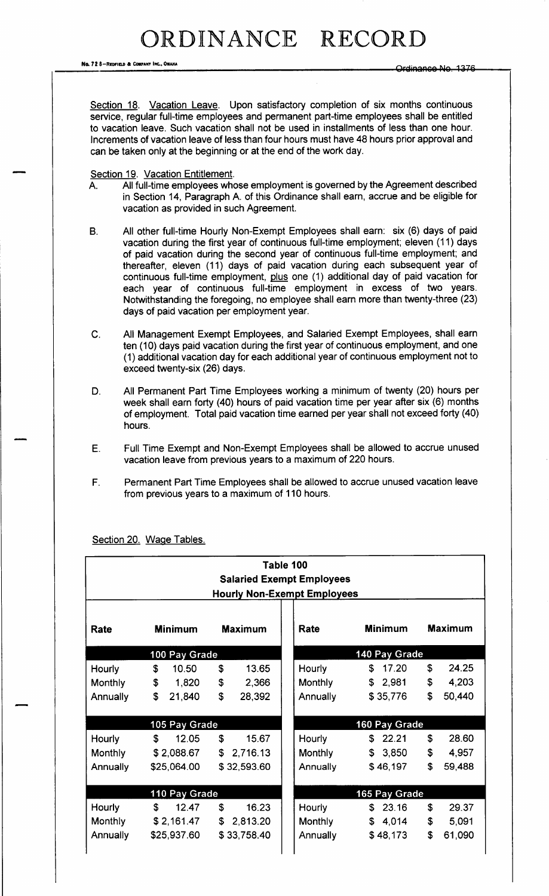RDINANCE RECORD

No. 72 8-REDFIELD & COMPANY INC., OMANA

Ordinance-No. 1376

Section 18. Vacation Leave. Upon satisfactory completion of six months continuous service, regular full-time employees and permanent part-time employees shall be entitled to vacation leave. Such vacation shall not be used in installments of less than one hour. Increments of vacation leave of less than four hours must have 48 hours prior approval and can be taken only at the beginning or at the end of the work day.

Section 19. Vacation Entitlement.

- A. All full-time employees whose employment is governed by the Agreement described in Section 14, Paragraph A. of this Ordinance shall earn, accrue and be eligible for vacation as provided in such Agreement.
- B. All other full-time Hourly Non-Exempt Employees shall earn: six (6) days of paid vacation during the first year of continuous full-time employment; eleven ( 11) days of paid vacation during the second year of continuous full-time employment; and thereafter, eleven (11) days of paid vacation during each subsequent year of continuous full-time employment, plus one (1) additional day of paid vacation for each year of continuous full-time employment in excess of two years. Notwithstanding the foregoing, no employee shall earn more than twenty-three (23) days of paid vacation per employment year.
- C. All Management Exempt Employees, and Salaried Exempt Employees, shall earn ten ( 10) days paid vacation during the first year of continuous employment, and one 1) additional vacation day for each additional year of continuous employment not to exceed twenty-six (26) days.
- D. All Permanent Part Time Employees working a minimum of twenty (20) hours per week shall earn forty (40) hours of paid vacation time per year after six (6) months of employment. Total paid vacation time earned per year shall not exceed forty (40) hours.
- E. Full Time Exempt and Non-Exempt Employees shall be allowed to accrue unused vacation leave from previous years to a maximum of 220 hours.
- F. Permanent Part Time Employees shall be allowed to accrue unused vacation leave from previous years to a maximum of 110 hours.

| Table 100<br><b>Salaried Exempt Employees</b><br><b>Hourly Non-Exempt Employees</b> |                |                               |                 |                |                |  |
|-------------------------------------------------------------------------------------|----------------|-------------------------------|-----------------|----------------|----------------|--|
| Rate                                                                                | <b>Minimum</b> | <b>Maximum</b>                | Rate            | <b>Minimum</b> | <b>Maximum</b> |  |
| 100 Pay Grade                                                                       |                |                               | 140 Pay Grade   |                |                |  |
| Hourly                                                                              | \$<br>10.50    | \$<br>13.65                   | Hourly          | \$<br>17.20    | \$<br>24.25    |  |
| <b>Monthly</b>                                                                      | \$<br>1,820    | $\pmb{\mathfrak{P}}$<br>2,366 | <b>Monthly</b>  | \$2,981        | 4,203<br>\$    |  |
| Annually                                                                            | \$<br>21,840   | \$<br>28,392                  | <b>Annually</b> | \$35,776       | \$<br>50,440   |  |
| 105 Pay Grade                                                                       |                |                               |                 | 160 Pay Grade  |                |  |
| Hourly                                                                              | \$<br>12.05    | \$<br>15.67                   | Hourly          | \$22.21        | \$<br>28.60    |  |
| Monthly                                                                             | \$2,088.67     | \$<br>2,716.13                | <b>Monthly</b>  | \$3,850        | \$<br>4,957    |  |
| Annually                                                                            | \$25,064.00    | \$32,593.60                   | Annually        | \$46,197       | \$<br>59,488   |  |
| 110 Pay Grade                                                                       |                |                               |                 | 165 Pay Grade  |                |  |
| Hourly                                                                              | \$<br>12.47    | 16.23<br>S.                   | Hourly          | \$<br>23.16    | \$<br>29.37    |  |
| Monthly                                                                             | \$2,161.47     | $\mathfrak{S}$<br>2,813.20    | <b>Monthly</b>  | \$4,014        | \$<br>5,091    |  |
| Annually                                                                            | \$25,937.60    | \$33,758.40                   | Annually        | \$48,173       | \$<br>61,090   |  |

Section 20. Wage Tables.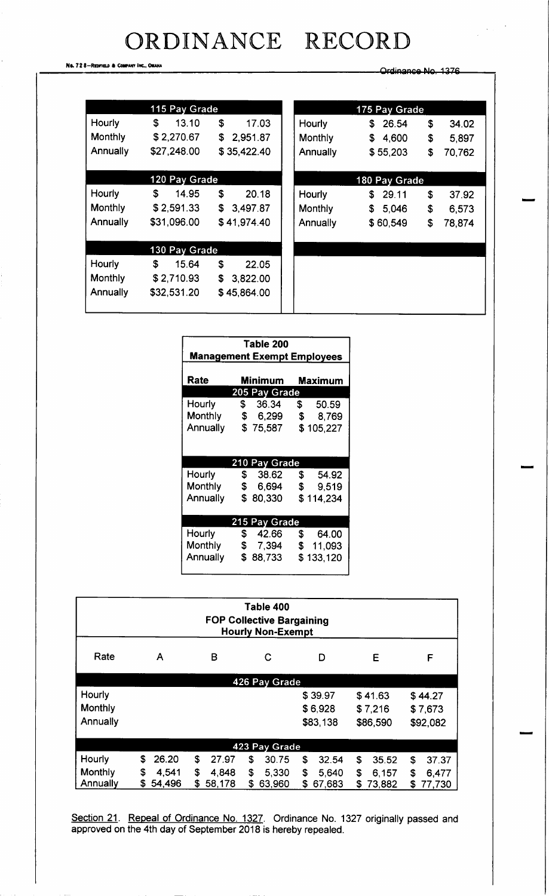# ORDINANCE RECORD

No. 728-REDFIELD & COMPANY INC., OMAHA

Ordinance No. 1376

| 115 Pay Grade  |               |                |  |  |  |  |  |
|----------------|---------------|----------------|--|--|--|--|--|
| Hourly         | \$<br>13.10   | \$<br>17.03    |  |  |  |  |  |
| <b>Monthly</b> | \$2,270.67    | \$<br>2,951.87 |  |  |  |  |  |
| Annually       | \$27,248.00   | \$35,422.40    |  |  |  |  |  |
|                |               |                |  |  |  |  |  |
|                | 120 Pay Grade |                |  |  |  |  |  |
| Hourly         | S.<br>14.95   | \$<br>20.18    |  |  |  |  |  |
| Monthly        | \$2,591.33    | \$<br>3,497.87 |  |  |  |  |  |
| Annually       | \$31,096.00   | \$41,974.40    |  |  |  |  |  |
|                |               |                |  |  |  |  |  |
| 130 Pay Grade  |               |                |  |  |  |  |  |
| Hourly         | \$<br>15.64   | \$<br>22.05    |  |  |  |  |  |
| <b>Monthly</b> | \$2,710.93    | \$<br>3,822.00 |  |  |  |  |  |
| Annually       | \$32,531.20   | \$45,864.00    |  |  |  |  |  |
|                |               |                |  |  |  |  |  |

| 26.54<br>S.<br>\$4,600 | \$ | 34.02  |  |  |  |
|------------------------|----|--------|--|--|--|
|                        |    |        |  |  |  |
|                        | \$ | 5,897  |  |  |  |
| \$55,203               | \$ | 70,762 |  |  |  |
| 180 Pay Grade          |    |        |  |  |  |
| SS.<br>29.11           | \$ | 37.92  |  |  |  |
| $\mathsf{s}$           | \$ | 6,573  |  |  |  |
| \$60,549               | S  | 78,874 |  |  |  |
|                        |    |        |  |  |  |
|                        |    |        |  |  |  |
|                        |    | 5,046  |  |  |  |

| Table 200<br><b>Management Exempt Employees</b> |                          |                   |  |  |  |
|-------------------------------------------------|--------------------------|-------------------|--|--|--|
| Rate                                            | Minimum<br>Maximum       |                   |  |  |  |
|                                                 | 205 Pay Grade            |                   |  |  |  |
| Hourly                                          | \$36.34                  | 50.59<br><b>S</b> |  |  |  |
| Monthly                                         | \$ 6,299 \$              | 8,769             |  |  |  |
| <b>Annually</b>                                 | \$75,587                 | \$105,227         |  |  |  |
|                                                 | 210 Pay Grade            |                   |  |  |  |
| Hourly                                          | 38.62 \$<br>$\mathbb{S}$ | 54.92             |  |  |  |
| <b>Monthly</b>                                  | $\mathfrak s$            | 6,694 \$ 9,519    |  |  |  |
| Annually                                        | \$<br>80,330             | \$114,234         |  |  |  |
| 215 Pay Grade                                   |                          |                   |  |  |  |
| Hourly                                          | \$42.66                  | \$<br>64.00       |  |  |  |
| Monthly                                         | \$7,394                  | \$11,093          |  |  |  |
| Annually                                        | \$<br>88,733             | \$133,120         |  |  |  |

| Table 400<br><b>FOP Collective Bargaining</b><br><b>Hourly Non-Exempt</b> |              |             |              |              |             |             |
|---------------------------------------------------------------------------|--------------|-------------|--------------|--------------|-------------|-------------|
| Rate                                                                      | A            | в           | C            | D            | E           | F           |
| 426 Pay Grade                                                             |              |             |              |              |             |             |
| <b>Hourly</b>                                                             |              |             |              | \$39.97      | \$41.63     | \$44.27     |
| Monthly                                                                   |              |             |              | \$6,928      | \$7,216     | \$7,673     |
| Annually                                                                  |              |             |              | \$83,138     | \$86,590    | \$92,082    |
| 423 Pay Grade                                                             |              |             |              |              |             |             |
| Hourly                                                                    | \$<br>26.20  | \$<br>27.97 | \$<br>30.75  | \$<br>32.54  | \$<br>35.52 | 37.37<br>\$ |
| Monthly                                                                   | \$<br>4,541  | \$<br>4,848 | \$<br>5,330  | \$<br>5,640  | \$<br>6,157 | \$<br>6,477 |
| Annually                                                                  | 54,496<br>S. | S<br>58,178 | \$<br>63,960 | \$<br>67.683 | 73,882<br>S | 77,730<br>S |

Section 21. Repeal of Ordinance No. 1327. Ordinance No. 1327 originally passed and approved on the 4th day of September 2018 is hereby repealed.